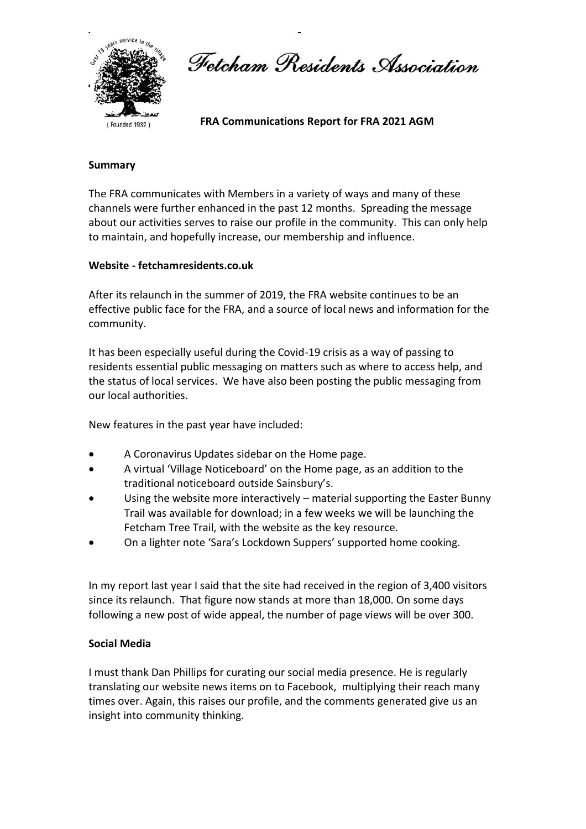

Fetcham Residents Association

 **FRA Communications Report for FRA 2021 AGM**

# **Summary**

The FRA communicates with Members in a variety of ways and many of these channels were further enhanced in the past 12 months. Spreading the message about our activities serves to raise our profile in the community. This can only help to maintain, and hopefully increase, our membership and influence.

## **Website - fetchamresidents.co.uk**

After its relaunch in the summer of 2019, the FRA website continues to be an effective public face for the FRA, and a source of local news and information for the community.

It has been especially useful during the Covid-19 crisis as a way of passing to residents essential public messaging on matters such as where to access help, and the status of local services. We have also been posting the public messaging from our local authorities.

New features in the past year have included:

- A Coronavirus Updates sidebar on the Home page.
- A virtual 'Village Noticeboard' on the Home page, as an addition to the traditional noticeboard outside Sainsbury's.
- Using the website more interactively material supporting the Easter Bunny Trail was available for download; in a few weeks we will be launching the Fetcham Tree Trail, with the website as the key resource.
- On a lighter note 'Sara's Lockdown Suppers' supported home cooking.

In my report last year I said that the site had received in the region of 3,400 visitors since its relaunch. That figure now stands at more than 18,000. On some days following a new post of wide appeal, the number of page views will be over 300.

## **Social Media**

I must thank Dan Phillips for curating our social media presence. He is regularly translating our website news items on to Facebook, multiplying their reach many times over. Again, this raises our profile, and the comments generated give us an insight into community thinking.